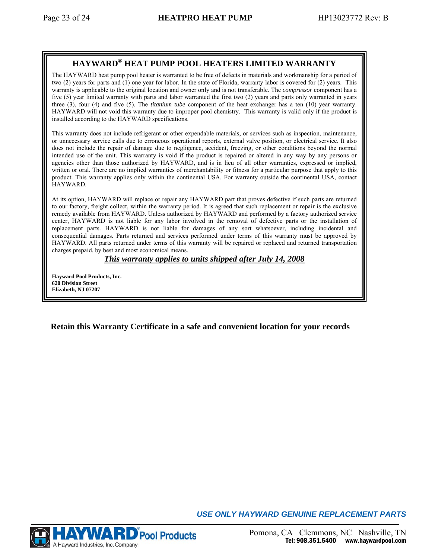## **HAYWARD® HEAT PUMP POOL HEATERS LIMITED WARRANTY**

The HAYWARD heat pump pool heater is warranted to be free of defects in materials and workmanship for a period of two (2) years for parts and (1) one year for labor. In the state of Florida, warranty labor is covered for (2) years. This warranty is applicable to the original location and owner only and is not transferable. The *compressor* component has a five (5) year limited warranty with parts and labor warranted the first two (2) years and parts only warranted in years three (3), four (4) and five (5). The *titanium tube* component of the heat exchanger has a ten (10) year warranty. HAYWARD will not void this warranty due to improper pool chemistry. This warranty is valid only if the product is installed according to the HAYWARD specifications.

This warranty does not include refrigerant or other expendable materials, or services such as inspection, maintenance, or unnecessary service calls due to erroneous operational reports, external valve position, or electrical service. It also does not include the repair of damage due to negligence, accident, freezing, or other conditions beyond the normal intended use of the unit. This warranty is void if the product is repaired or altered in any way by any persons or agencies other than those authorized by HAYWARD, and is in lieu of all other warranties, expressed or implied, written or oral. There are no implied warranties of merchantability or fitness for a particular purpose that apply to this product. This warranty applies only within the continental USA. For warranty outside the continental USA, contact HAYWARD.

At its option, HAYWARD will replace or repair any HAYWARD part that proves defective if such parts are returned to our factory, freight collect, within the warranty period. It is agreed that such replacement or repair is the exclusive remedy available from HAYWARD. Unless authorized by HAYWARD and performed by a factory authorized service center, HAYWARD is not liable for any labor involved in the removal of defective parts or the installation of replacement parts. HAYWARD is not liable for damages of any sort whatsoever, including incidental and consequential damages. Parts returned and services performed under terms of this warranty must be approved by HAYWARD. All parts returned under terms of this warranty will be repaired or replaced and returned transportation charges prepaid, by best and most economical means.

## *This warranty applies to units shipped after July 14, 2008*

**Hayward Pool Products, Inc. 620 Division Street Elizabeth, NJ 07207** 

 **Retain this Warranty Certificate in a safe and convenient location for your records**



*USE ONLY HAYWARD GENUINE REPLACEMENT PARTS*